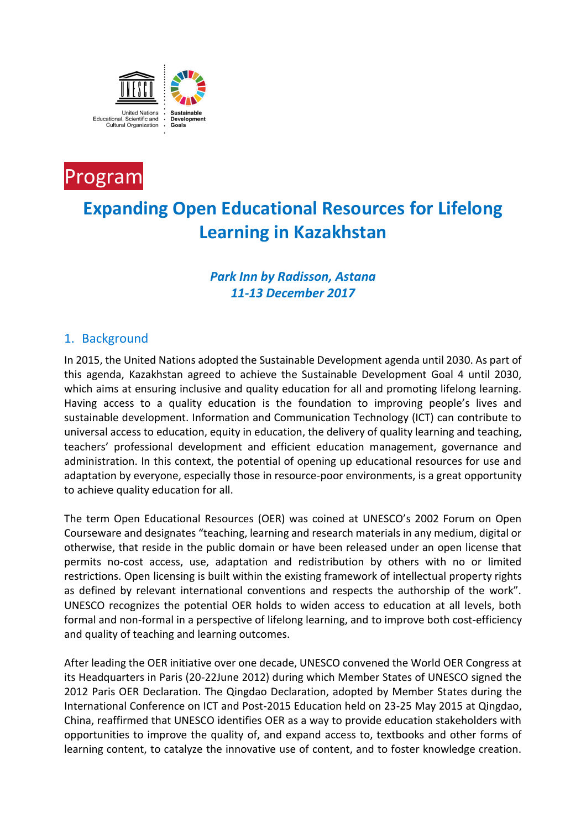



# **Expanding Open Educational Resources for Lifelong Learning in Kazakhstan**

## *Park Inn by Radisson, Astana 11-13 December 2017*

### 1. Background

In 2015, the United Nations adopted the Sustainable Development agenda until 2030. As part of this agenda, Kazakhstan agreed to achieve the Sustainable Development Goal 4 until 2030, which aims at ensuring inclusive and quality education for all and promoting lifelong learning. Having access to a quality education is the foundation to improving people's lives and sustainable development. Information and Communication Technology (ICT) can contribute to universal access to education, equity in education, the delivery of quality learning and teaching, teachers' professional development and efficient education management, governance and administration. In this context, the potential of opening up educational resources for use and adaptation by everyone, especially those in resource-poor environments, is a great opportunity to achieve quality education for all.

The term Open Educational Resources (OER) was coined at UNESCO's 2002 Forum on Open Courseware and designates "teaching, learning and research materials in any medium, digital or otherwise, that reside in the public domain or have been released under an open license that permits no-cost access, use, adaptation and redistribution by others with no or limited restrictions. Open licensing is built within the existing framework of intellectual property rights as defined by relevant international conventions and respects the authorship of the work". UNESCO recognizes the potential OER holds to widen access to education at all levels, both formal and non-formal in a perspective of lifelong learning, and to improve both cost-efficiency and quality of teaching and learning outcomes.

After leading the OER initiative over one decade, UNESCO convened the World OER Congress at its Headquarters in Paris (20-22June 2012) during which Member States of UNESCO signed the 2012 Paris OER Declaration. The Qingdao Declaration, adopted by Member States during the International Conference on ICT and Post-2015 Education held on 23-25 May 2015 at Qingdao, China, reaffirmed that UNESCO identifies OER as a way to provide education stakeholders with opportunities to improve the quality of, and expand access to, textbooks and other forms of learning content, to catalyze the innovative use of content, and to foster knowledge creation.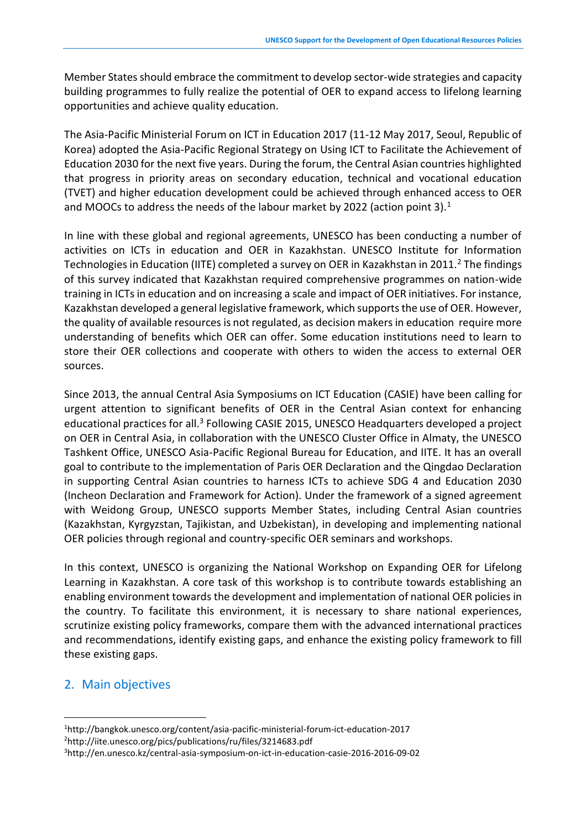Member States should embrace the commitment to develop sector-wide strategies and capacity building programmes to fully realize the potential of OER to expand access to lifelong learning opportunities and achieve quality education.

The Asia-Pacific Ministerial Forum on ICT in Education 2017 (11-12 May 2017, Seoul, Republic of Korea) adopted the Asia-Pacific Regional Strategy on Using ICT to Facilitate the Achievement of Education 2030 for the next five years. During the forum, the Central Asian countries highlighted that progress in priority areas on secondary education, technical and vocational education (TVET) and higher education development could be achieved through enhanced access to OER and MOOCs to address the needs of the labour market by 2022 (action point 3). $<sup>1</sup>$ </sup>

In line with these global and regional agreements, UNESCO has been conducting a number of activities on ICTs in education and OER in Kazakhstan. UNESCO Institute for Information Technologies in Education (IITE) completed a survey on OER in Kazakhstan in 2011.<sup>2</sup> The findings of this survey indicated that Kazakhstan required comprehensive programmes on nation-wide training in ICTs in education and on increasing a scale and impact of OER initiatives. For instance, Kazakhstan developed a general legislative framework, which supports the use of OER. However, the quality of available resources is not regulated, as decision makers in education require more understanding of benefits which OER can offer. Some education institutions need to learn to store their OER collections and cooperate with others to widen the access to external OER sources.

Since 2013, the annual Central Asia Symposiums on ICT Education (CASIE) have been calling for urgent attention to significant benefits of OER in the Central Asian context for enhancing educational practices for all.<sup>3</sup> Following CASIE 2015, UNESCO Headquarters developed a project on OER in Central Asia, in collaboration with the UNESCO Cluster Office in Almaty, the UNESCO Tashkent Office, UNESCO Asia-Pacific Regional Bureau for Education, and IITE. It has an overall goal to contribute to the implementation of Paris OER Declaration and the Qingdao Declaration in supporting Central Asian countries to harness ICTs to achieve SDG 4 and Education 2030 (Incheon Declaration and Framework for Action). Under the framework of a signed agreement with Weidong Group, UNESCO supports Member States, including Central Asian countries (Kazakhstan, Kyrgyzstan, Tajikistan, and Uzbekistan), in developing and implementing national OER policies through regional and country-specific OER seminars and workshops.

In this context, UNESCO is organizing the National Workshop on Expanding OER for Lifelong Learning in Kazakhstan. A core task of this workshop is to contribute towards establishing an enabling environment towards the development and implementation of national OER policies in the country. To facilitate this environment, it is necessary to share national experiences, scrutinize existing policy frameworks, compare them with the advanced international practices and recommendations, identify existing gaps, and enhance the existing policy framework to fill these existing gaps.

#### 2. Main objectives

 $\overline{a}$ 

<sup>1</sup>http://bangkok.unesco.org/content/asia-pacific-ministerial-forum-ict-education-2017 <sup>2</sup>http://iite.unesco.org/pics/publications/ru/files/3214683.pdf

<sup>3</sup>http://en.unesco.kz/central-asia-symposium-on-ict-in-education-casie-2016-2016-09-02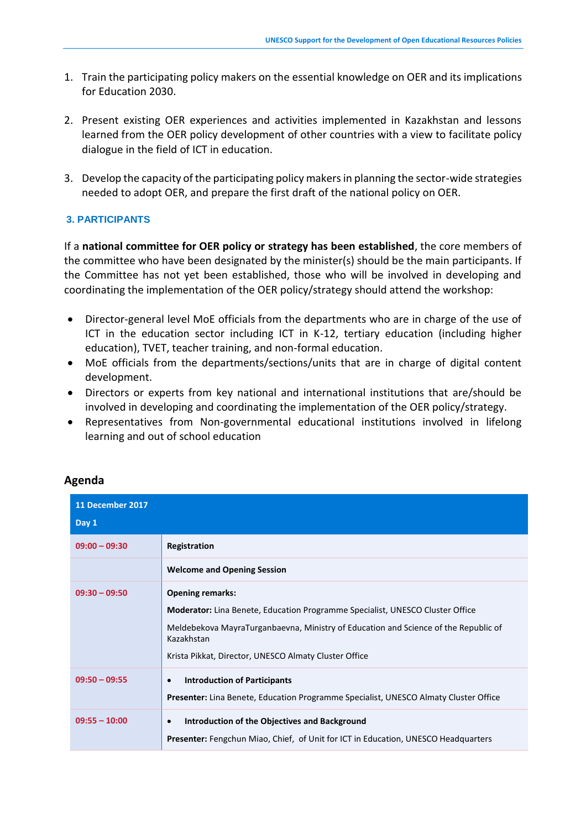- 1. Train the participating policy makers on the essential knowledge on OER and its implications for Education 2030.
- 2. Present existing OER experiences and activities implemented in Kazakhstan and lessons learned from the OER policy development of other countries with a view to facilitate policy dialogue in the field of ICT in education.
- 3. Develop the capacity of the participating policy makers in planning the sector-wide strategies needed to adopt OER, and prepare the first draft of the national policy on OER.

#### **3. PARTICIPANTS**

If a **national committee for OER policy or strategy has been established**, the core members of the committee who have been designated by the minister(s) should be the main participants. If the Committee has not yet been established, those who will be involved in developing and coordinating the implementation of the OER policy/strategy should attend the workshop:

- Director-general level MoE officials from the departments who are in charge of the use of ICT in the education sector including ICT in K-12, tertiary education (including higher education), TVET, teacher training, and non-formal education.
- MoE officials from the departments/sections/units that are in charge of digital content development.
- Directors or experts from key national and international institutions that are/should be involved in developing and coordinating the implementation of the OER policy/strategy.
- Representatives from Non-governmental educational institutions involved in lifelong learning and out of school education

| 11 December 2017 |                                                                                                                                                                                                                                                                               |
|------------------|-------------------------------------------------------------------------------------------------------------------------------------------------------------------------------------------------------------------------------------------------------------------------------|
| Day 1            |                                                                                                                                                                                                                                                                               |
| $09:00 - 09:30$  | Registration                                                                                                                                                                                                                                                                  |
|                  | <b>Welcome and Opening Session</b>                                                                                                                                                                                                                                            |
| $09:30 - 09:50$  | <b>Opening remarks:</b><br><b>Moderator:</b> Lina Benete, Education Programme Specialist, UNESCO Cluster Office<br>Meldebekova MayraTurganbaevna, Ministry of Education and Science of the Republic of<br>Kazakhstan<br>Krista Pikkat, Director, UNESCO Almaty Cluster Office |
| $09:50 - 09:55$  | <b>Introduction of Participants</b><br>$\bullet$<br><b>Presenter:</b> Lina Benete, Education Programme Specialist, UNESCO Almaty Cluster Office                                                                                                                               |
| $09:55 - 10:00$  | Introduction of the Objectives and Background<br>$\bullet$<br><b>Presenter:</b> Fengchun Miao, Chief, of Unit for ICT in Education, UNESCO Headquarters                                                                                                                       |

#### **Agenda**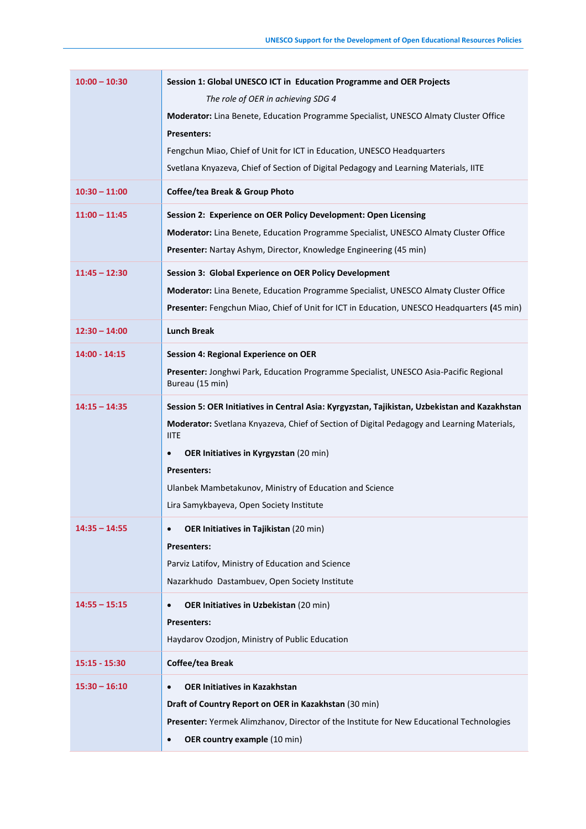| $10:00 - 10:30$ | Session 1: Global UNESCO ICT in Education Programme and OER Projects                                      |
|-----------------|-----------------------------------------------------------------------------------------------------------|
|                 | The role of OER in achieving SDG 4                                                                        |
|                 | Moderator: Lina Benete, Education Programme Specialist, UNESCO Almaty Cluster Office                      |
|                 | <b>Presenters:</b>                                                                                        |
|                 | Fengchun Miao, Chief of Unit for ICT in Education, UNESCO Headquarters                                    |
|                 | Svetlana Knyazeva, Chief of Section of Digital Pedagogy and Learning Materials, IITE                      |
| $10:30 - 11:00$ | Coffee/tea Break & Group Photo                                                                            |
| $11:00 - 11:45$ | Session 2: Experience on OER Policy Development: Open Licensing                                           |
|                 | Moderator: Lina Benete, Education Programme Specialist, UNESCO Almaty Cluster Office                      |
|                 | Presenter: Nartay Ashym, Director, Knowledge Engineering (45 min)                                         |
| $11:45 - 12:30$ | <b>Session 3: Global Experience on OER Policy Development</b>                                             |
|                 | Moderator: Lina Benete, Education Programme Specialist, UNESCO Almaty Cluster Office                      |
|                 | Presenter: Fengchun Miao, Chief of Unit for ICT in Education, UNESCO Headquarters (45 min)                |
| $12:30 - 14:00$ | <b>Lunch Break</b>                                                                                        |
| 14:00 - 14:15   | <b>Session 4: Regional Experience on OER</b>                                                              |
|                 | Presenter: Jonghwi Park, Education Programme Specialist, UNESCO Asia-Pacific Regional<br>Bureau (15 min)  |
| $14:15 - 14:35$ | Session 5: OER Initiatives in Central Asia: Kyrgyzstan, Tajikistan, Uzbekistan and Kazakhstan             |
|                 | Moderator: Svetlana Knyazeva, Chief of Section of Digital Pedagogy and Learning Materials,<br><b>IITE</b> |
|                 | <b>OER Initiatives in Kyrgyzstan (20 min)</b><br>$\bullet$                                                |
|                 | Presenters:                                                                                               |
|                 | Ulanbek Mambetakunov, Ministry of Education and Science                                                   |
|                 | Lira Samykbayeva, Open Society Institute                                                                  |
| $14:35 - 14:55$ | OER Initiatives in Tajikistan (20 min)<br>$\bullet$                                                       |
|                 | <b>Presenters:</b>                                                                                        |
|                 | Parviz Latifov, Ministry of Education and Science                                                         |
|                 | Nazarkhudo Dastambuev, Open Society Institute                                                             |
| $14:55 - 15:15$ | OER Initiatives in Uzbekistan (20 min)<br>$\bullet$                                                       |
|                 | <b>Presenters:</b>                                                                                        |
|                 | Haydarov Ozodjon, Ministry of Public Education                                                            |
| 15:15 - 15:30   | Coffee/tea Break                                                                                          |
| $15:30 - 16:10$ | <b>OER Initiatives in Kazakhstan</b><br>$\bullet$                                                         |
|                 | Draft of Country Report on OER in Kazakhstan (30 min)                                                     |
|                 | Presenter: Yermek Alimzhanov, Director of the Institute for New Educational Technologies                  |
|                 | OER country example (10 min)<br>$\bullet$                                                                 |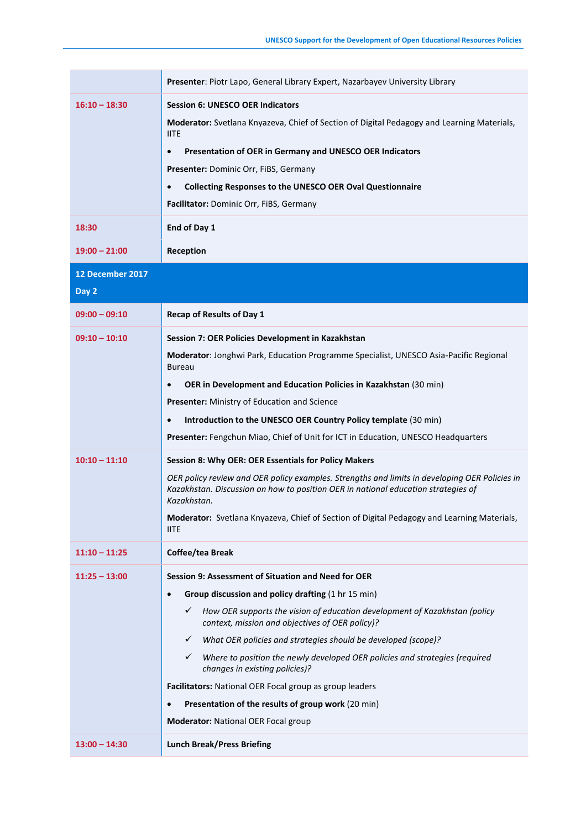|                  | Presenter: Piotr Lapo, General Library Expert, Nazarbayev University Library                                                                                                       |
|------------------|------------------------------------------------------------------------------------------------------------------------------------------------------------------------------------|
|                  |                                                                                                                                                                                    |
| $16:10 - 18:30$  | <b>Session 6: UNESCO OER Indicators</b>                                                                                                                                            |
|                  | Moderator: Svetlana Knyazeva, Chief of Section of Digital Pedagogy and Learning Materials,<br><b>IITE</b>                                                                          |
|                  | Presentation of OER in Germany and UNESCO OER Indicators<br>$\bullet$                                                                                                              |
|                  | Presenter: Dominic Orr, FiBS, Germany                                                                                                                                              |
|                  | <b>Collecting Responses to the UNESCO OER Oval Questionnaire</b><br>$\bullet$                                                                                                      |
|                  | Facilitator: Dominic Orr, FiBS, Germany                                                                                                                                            |
| 18:30            | End of Day 1                                                                                                                                                                       |
| $19:00 - 21:00$  | Reception                                                                                                                                                                          |
| 12 December 2017 |                                                                                                                                                                                    |
| Day 2            |                                                                                                                                                                                    |
| $09:00 - 09:10$  | <b>Recap of Results of Day 1</b>                                                                                                                                                   |
| $09:10 - 10:10$  | Session 7: OER Policies Development in Kazakhstan                                                                                                                                  |
|                  | Moderator: Jonghwi Park, Education Programme Specialist, UNESCO Asia-Pacific Regional<br><b>Bureau</b>                                                                             |
|                  | OER in Development and Education Policies in Kazakhstan (30 min)<br>$\bullet$                                                                                                      |
|                  | <b>Presenter:</b> Ministry of Education and Science                                                                                                                                |
|                  | Introduction to the UNESCO OER Country Policy template (30 min)<br>$\bullet$                                                                                                       |
|                  | Presenter: Fengchun Miao, Chief of Unit for ICT in Education, UNESCO Headquarters                                                                                                  |
| $10:10 - 11:10$  | Session 8: Why OER: OER Essentials for Policy Makers                                                                                                                               |
|                  | OER policy review and OER policy examples. Strengths and limits in developing OER Policies in<br>Kazakhstan. Discussion on how to position OER in national education strategies of |
|                  | Kazakhstan.                                                                                                                                                                        |
|                  | Moderator: Svetlana Knyazeva, Chief of Section of Digital Pedagogy and Learning Materials,<br><b>IITE</b>                                                                          |
| $11:10 - 11:25$  | Coffee/tea Break                                                                                                                                                                   |
| $11:25 - 13:00$  | Session 9: Assessment of Situation and Need for OER                                                                                                                                |
|                  | Group discussion and policy drafting (1 hr 15 min)<br>$\bullet$                                                                                                                    |
|                  | How OER supports the vision of education development of Kazakhstan (policy<br>✓<br>context, mission and objectives of OER policy)?                                                 |
|                  | What OER policies and strategies should be developed (scope)?<br>$\checkmark$                                                                                                      |
|                  | Where to position the newly developed OER policies and strategies (required<br>$\checkmark$<br>changes in existing policies)?                                                      |
|                  | Facilitators: National OER Focal group as group leaders                                                                                                                            |
|                  | Presentation of the results of group work (20 min)<br>$\bullet$                                                                                                                    |
|                  | <b>Moderator: National OER Focal group</b>                                                                                                                                         |
| $13:00 - 14:30$  | <b>Lunch Break/Press Briefing</b>                                                                                                                                                  |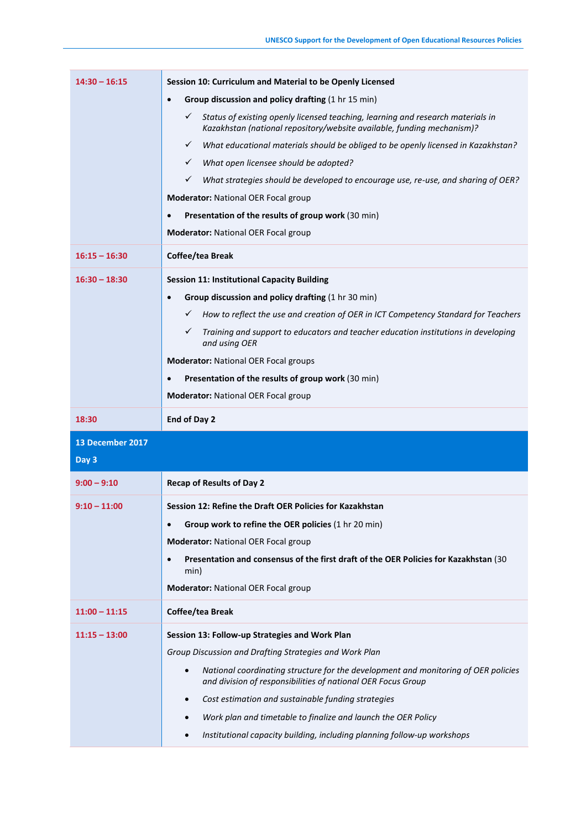| $14:30 - 16:15$  | Session 10: Curriculum and Material to be Openly Licensed                                                                                                                 |
|------------------|---------------------------------------------------------------------------------------------------------------------------------------------------------------------------|
|                  | Group discussion and policy drafting (1 hr 15 min)<br>$\bullet$                                                                                                           |
|                  | Status of existing openly licensed teaching, learning and research materials in<br>$\checkmark$<br>Kazakhstan (national repository/website available, funding mechanism)? |
|                  | What educational materials should be obliged to be openly licensed in Kazakhstan?<br>$\checkmark$                                                                         |
|                  | What open licensee should be adopted?<br>$\checkmark$                                                                                                                     |
|                  | ✓<br>What strategies should be developed to encourage use, re-use, and sharing of OER?                                                                                    |
|                  | <b>Moderator: National OER Focal group</b>                                                                                                                                |
|                  | Presentation of the results of group work (30 min)                                                                                                                        |
|                  | <b>Moderator: National OER Focal group</b>                                                                                                                                |
| $16:15 - 16:30$  | Coffee/tea Break                                                                                                                                                          |
| $16:30 - 18:30$  | <b>Session 11: Institutional Capacity Building</b>                                                                                                                        |
|                  | Group discussion and policy drafting (1 hr 30 min)<br>$\bullet$                                                                                                           |
|                  | How to reflect the use and creation of OER in ICT Competency Standard for Teachers<br>✓                                                                                   |
|                  | $\checkmark$<br>Training and support to educators and teacher education institutions in developing<br>and using OER                                                       |
|                  | <b>Moderator: National OER Focal groups</b>                                                                                                                               |
|                  | Presentation of the results of group work (30 min)                                                                                                                        |
|                  | <b>Moderator: National OER Focal group</b>                                                                                                                                |
|                  |                                                                                                                                                                           |
| 18:30            | End of Day 2                                                                                                                                                              |
| 13 December 2017 |                                                                                                                                                                           |
| Day 3            |                                                                                                                                                                           |
| $9:00 - 9:10$    | <b>Recap of Results of Day 2</b>                                                                                                                                          |
| $9:10 - 11:00$   | Session 12: Refine the Draft OER Policies for Kazakhstan                                                                                                                  |
|                  | Group work to refine the OER policies (1 hr 20 min)<br>$\bullet$                                                                                                          |
|                  | <b>Moderator: National OER Focal group</b>                                                                                                                                |
|                  | Presentation and consensus of the first draft of the OER Policies for Kazakhstan (30<br>$\bullet$<br>min)                                                                 |
|                  | <b>Moderator: National OER Focal group</b>                                                                                                                                |
| $11:00 - 11:15$  | Coffee/tea Break                                                                                                                                                          |
| $11:15 - 13:00$  | Session 13: Follow-up Strategies and Work Plan                                                                                                                            |
|                  | Group Discussion and Drafting Strategies and Work Plan                                                                                                                    |
|                  | National coordinating structure for the development and monitoring of OER policies<br>$\bullet$<br>and division of responsibilities of national OER Focus Group           |
|                  | Cost estimation and sustainable funding strategies<br>$\bullet$                                                                                                           |
|                  | Work plan and timetable to finalize and launch the OER Policy<br>$\bullet$                                                                                                |